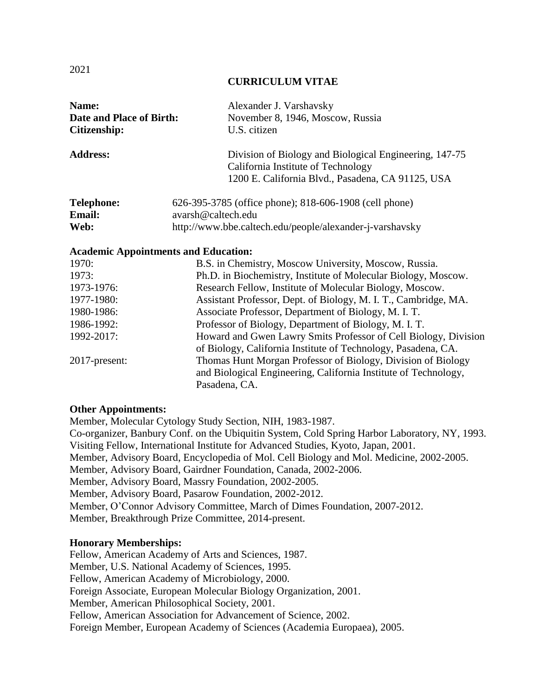#### **CURRICULUM VITAE**

| Name:<br>Date and Place of Birth:<br>Citizenship: | Alexander J. Varshavsky<br>November 8, 1946, Moscow, Russia<br>U.S. citizen                  |
|---------------------------------------------------|----------------------------------------------------------------------------------------------|
|                                                   |                                                                                              |
| <b>Address:</b>                                   | Division of Biology and Biological Engineering, 147-75<br>California Institute of Technology |
|                                                   | 1200 E. California Blvd., Pasadena, CA 91125, USA                                            |
| <b>Telephone:</b>                                 | 626-395-3785 (office phone); 818-606-1908 (cell phone)                                       |
| <b>Email:</b>                                     | avarsh@caltech.edu                                                                           |
| Web:                                              | http://www.bbe.caltech.edu/people/alexander-j-varshavsky                                     |
| <b>Academic Appointments and Education:</b>       |                                                                                              |
| 1970:                                             | B.S. in Chemistry, Moscow University, Moscow, Russia.                                        |
| 1973:                                             | Ph.D. in Biochemistry, Institute of Molecular Biology, Moscow.                               |
| 1973-1976:                                        | Research Fellow, Institute of Molecular Biology, Moscow.                                     |
| 1977-1980:                                        | Assistant Professor, Dept. of Biology, M. I. T., Cambridge, MA.                              |
| 1980-1986:                                        | Associate Professor, Department of Biology, M. I. T.                                         |
| 1986-1992:                                        | Professor of Biology, Department of Biology, M. I. T.                                        |
| 1992-2017:                                        | Howard and Gwen Lawry Smits Professor of Cell Biology, Division                              |

2017-present: Thomas Hunt Morgan Professor of Biology, Division of Biology and Biological Engineering, California Institute of Technology, Pasadena, CA.

of Biology, California Institute of Technology, Pasadena, CA.

#### **Other Appointments:**

Member, Molecular Cytology Study Section, NIH, 1983-1987. Co-organizer, Banbury Conf. on the Ubiquitin System, Cold Spring Harbor Laboratory, NY, 1993. Visiting Fellow, International Institute for Advanced Studies, Kyoto, Japan, 2001. Member, Advisory Board, Encyclopedia of Mol. Cell Biology and Mol. Medicine, 2002-2005. Member, Advisory Board, Gairdner Foundation, Canada, 2002-2006. Member, Advisory Board, Massry Foundation, 2002-2005. Member, Advisory Board, Pasarow Foundation, 2002-2012. Member, O'Connor Advisory Committee, March of Dimes Foundation, 2007-2012. Member, Breakthrough Prize Committee, 2014-present.

#### **Honorary Memberships:**

Fellow, American Academy of Arts and Sciences, 1987. Member, U.S. National Academy of Sciences, 1995. Fellow, American Academy of Microbiology, 2000. Foreign Associate, European Molecular Biology Organization, 2001. Member, American Philosophical Society, 2001. Fellow, American Association for Advancement of Science, 2002. Foreign Member, European Academy of Sciences (Academia Europaea), 2005.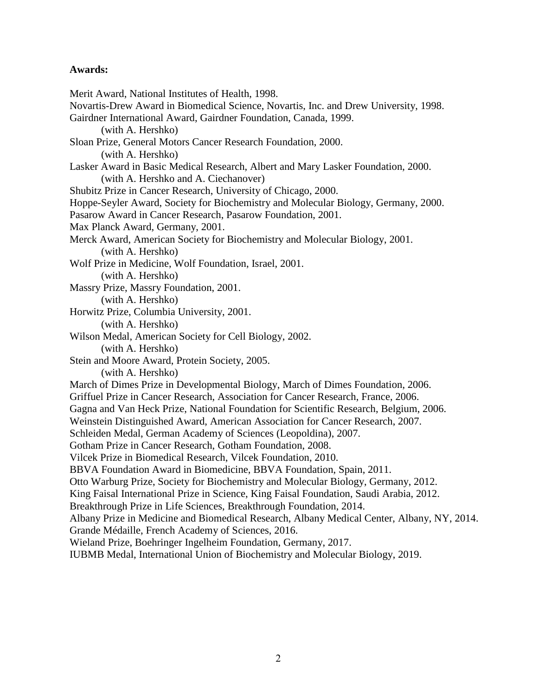### **Awards:**

Merit Award, National Institutes of Health, 1998. Novartis-Drew Award in Biomedical Science, Novartis, Inc. and Drew University, 1998. Gairdner International Award, Gairdner Foundation, Canada, 1999. (with A. Hershko) Sloan Prize, General Motors Cancer Research Foundation, 2000. (with A. Hershko) Lasker Award in Basic Medical Research, Albert and Mary Lasker Foundation, 2000. (with A. Hershko and A. Ciechanover) Shubitz Prize in Cancer Research, University of Chicago, 2000. Hoppe-Seyler Award, Society for Biochemistry and Molecular Biology, Germany, 2000. Pasarow Award in Cancer Research, Pasarow Foundation, 2001. Max Planck Award, Germany, 2001. Merck Award, American Society for Biochemistry and Molecular Biology, 2001. (with A. Hershko) Wolf Prize in Medicine, Wolf Foundation, Israel, 2001. (with A. Hershko) Massry Prize, Massry Foundation, 2001. (with A. Hershko) Horwitz Prize, Columbia University, 2001. (with A. Hershko) Wilson Medal, American Society for Cell Biology, 2002. (with A. Hershko) Stein and Moore Award, Protein Society, 2005. (with A. Hershko) March of Dimes Prize in Developmental Biology, March of Dimes Foundation, 2006. Griffuel Prize in Cancer Research, Association for Cancer Research, France, 2006. Gagna and Van Heck Prize, National Foundation for Scientific Research, Belgium, 2006. Weinstein Distinguished Award, American Association for Cancer Research, 2007. Schleiden Medal, German Academy of Sciences (Leopoldina), 2007. Gotham Prize in Cancer Research, Gotham Foundation, 2008. Vilcek Prize in Biomedical Research, Vilcek Foundation, 2010. BBVA Foundation Award in Biomedicine, BBVA Foundation, Spain, 2011. Otto Warburg Prize, Society for Biochemistry and Molecular Biology, Germany, 2012. King Faisal International Prize in Science, King Faisal Foundation, Saudi Arabia, 2012. Breakthrough Prize in Life Sciences, Breakthrough Foundation, 2014. Albany Prize in Medicine and Biomedical Research, Albany Medical Center, Albany, NY, 2014. Grande Médaille, French Academy of Sciences, 2016. Wieland Prize, Boehringer Ingelheim Foundation, Germany, 2017. IUBMB Medal, International Union of Biochemistry and Molecular Biology, 2019.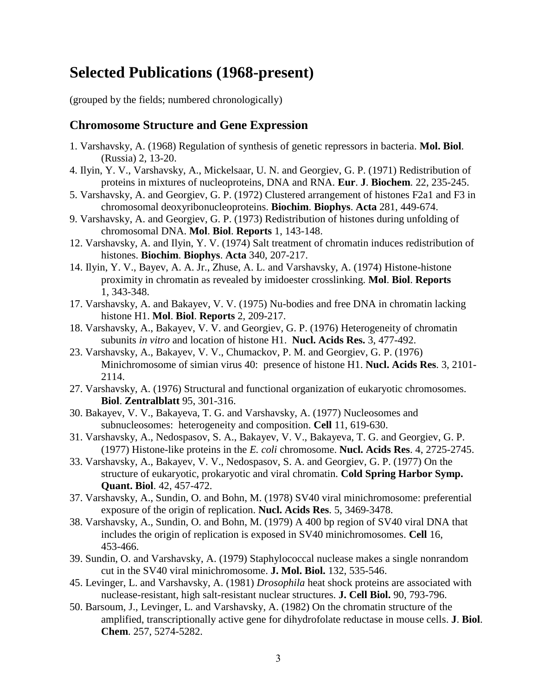# **Selected Publications (1968-present)**

(grouped by the fields; numbered chronologically)

## **Chromosome Structure and Gene Expression**

- 1. Varshavsky, A. (1968) Regulation of synthesis of genetic repressors in bacteria. **Mol. Biol**. (Russia) 2, 13-20.
- 4. Ilyin, Y. V., Varshavsky, A., Mickelsaar, U. N. and Georgiev, G. P. (1971) Redistribution of proteins in mixtures of nucleoproteins, DNA and RNA. **Eur**. **J**. **Biochem**. 22, 235-245.
- 5. Varshavsky, A. and Georgiev, G. P. (1972) Clustered arrangement of histones F2a1 and F3 in chromosomal deoxyribonucleoproteins. **Biochim**. **Biophys**. **Acta** 281, 449-674.
- 9. Varshavsky, A. and Georgiev, G. P. (1973) Redistribution of histones during unfolding of chromosomal DNA. **Mol**. **Biol**. **Reports** 1, 143-148.
- 12. Varshavsky, A. and Ilyin, Y. V. (1974) Salt treatment of chromatin induces redistribution of histones. **Biochim**. **Biophys**. **Acta** 340, 207-217.
- 14. Ilyin, Y. V., Bayev, A. A. Jr., Zhuse, A. L. and Varshavsky, A. (1974) Histone-histone proximity in chromatin as revealed by imidoester crosslinking. **Mol**. **Biol**. **Reports** 1, 343-348.
- 17. Varshavsky, A. and Bakayev, V. V. (1975) Nu-bodies and free DNA in chromatin lacking histone H1. **Mol**. **Biol**. **Reports** 2, 209-217.
- 18. Varshavsky, A., Bakayev, V. V. and Georgiev, G. P. (1976) Heterogeneity of chromatin subunits *in vitro* and location of histone H1. **Nucl. Acids Res.** 3, 477-492.
- 23. Varshavsky, A., Bakayev, V. V., Chumackov, P. M. and Georgiev, G. P. (1976) Minichromosome of simian virus 40: presence of histone H1. **Nucl. Acids Res**. 3, 2101- 2114.
- 27. Varshavsky, A. (1976) Structural and functional organization of eukaryotic chromosomes. **Biol**. **Zentralblatt** 95, 301-316.
- 30. Bakayev, V. V., Bakayeva, T. G. and Varshavsky, A. (1977) Nucleosomes and subnucleosomes: heterogeneity and composition. **Cell** 11, 619-630.
- 31. Varshavsky, A., Nedospasov, S. A., Bakayev, V. V., Bakayeva, T. G. and Georgiev, G. P. (1977) Histone-like proteins in the *E. coli* chromosome. **Nucl. Acids Res**. 4, 2725-2745.
- 33. Varshavsky, A., Bakayev, V. V., Nedospasov, S. A. and Georgiev, G. P. (1977) On the structure of eukaryotic, prokaryotic and viral chromatin. **Cold Spring Harbor Symp. Quant. Biol**. 42, 457-472.
- 37. Varshavsky, A., Sundin, O. and Bohn, M. (1978) SV40 viral minichromosome: preferential exposure of the origin of replication. **Nucl. Acids Res**. 5, 3469-3478.
- 38. Varshavsky, A., Sundin, O. and Bohn, M. (1979) A 400 bp region of SV40 viral DNA that includes the origin of replication is exposed in SV40 minichromosomes. **Cell** 16, 453-466.
- 39. Sundin, O. and Varshavsky, A. (1979) Staphylococcal nuclease makes a single nonrandom cut in the SV40 viral minichromosome. **J. Mol. Biol.** 132, 535-546.
- 45. Levinger, L. and Varshavsky, A. (1981) *Drosophila* heat shock proteins are associated with nuclease-resistant, high salt-resistant nuclear structures. **J. Cell Biol.** 90, 793-796.
- 50. Barsoum, J., Levinger, L. and Varshavsky, A. (1982) On the chromatin structure of the amplified, transcriptionally active gene for dihydrofolate reductase in mouse cells. **J**. **Biol**. **Chem**. 257, 5274-5282.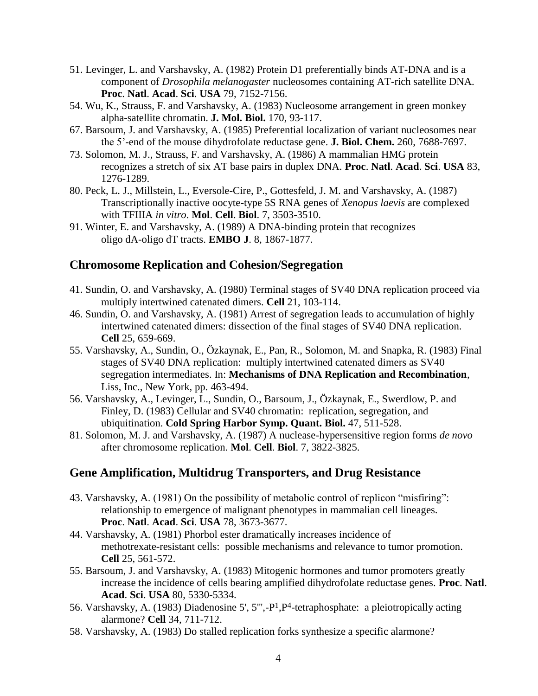- 51. Levinger, L. and Varshavsky, A. (1982) Protein D1 preferentially binds AT-DNA and is a component of *Drosophila melanogaster* nucleosomes containing AT-rich satellite DNA. **Proc**. **Natl**. **Acad**. **Sci**. **USA** 79, 7152-7156.
- 54. Wu, K., Strauss, F. and Varshavsky, A. (1983) Nucleosome arrangement in green monkey alpha-satellite chromatin. **J. Mol. Biol.** 170, 93-117.
- 67. Barsoum, J. and Varshavsky, A. (1985) Preferential localization of variant nucleosomes near the 5'-end of the mouse dihydrofolate reductase gene. **J. Biol. Chem.** 260, 7688-7697.
- 73. Solomon, M. J., Strauss, F. and Varshavsky, A. (1986) A mammalian HMG protein recognizes a stretch of six AT base pairs in duplex DNA. **Proc**. **Natl**. **Acad**. **Sci**. **USA** 83, 1276-1289.
- 80. Peck, L. J., Millstein, L., Eversole-Cire, P., Gottesfeld, J. M. and Varshavsky, A. (1987) Transcriptionally inactive oocyte-type 5S RNA genes of *Xenopus laevis* are complexed with TFIIIA *in vitro*. **Mol**. **Cell**. **Biol**. 7, 3503-3510.
- 91. Winter, E. and Varshavsky, A. (1989) A DNA-binding protein that recognizes oligo dA-oligo dT tracts. **EMBO J**. 8, 1867-1877.

## **Chromosome Replication and Cohesion/Segregation**

- 41. Sundin, O. and Varshavsky, A. (1980) Terminal stages of SV40 DNA replication proceed via multiply intertwined catenated dimers. **Cell** 21, 103-114.
- 46. Sundin, O. and Varshavsky, A. (1981) Arrest of segregation leads to accumulation of highly intertwined catenated dimers: dissection of the final stages of SV40 DNA replication. **Cell** 25, 659-669.
- 55. Varshavsky, A., Sundin, O., Özkaynak, E., Pan, R., Solomon, M. and Snapka, R. (1983) Final stages of SV40 DNA replication: multiply intertwined catenated dimers as SV40 segregation intermediates. In: **Mechanisms of DNA Replication and Recombination**, Liss, Inc., New York, pp. 463-494.
- 56. Varshavsky, A., Levinger, L., Sundin, O., Barsoum, J., Özkaynak, E., Swerdlow, P. and Finley, D. (1983) Cellular and SV40 chromatin: replication, segregation, and ubiquitination. **Cold Spring Harbor Symp. Quant. Biol.** 47, 511-528.
- 81. Solomon, M. J. and Varshavsky, A. (1987) A nuclease-hypersensitive region forms *de novo* after chromosome replication. **Mol**. **Cell**. **Biol**. 7, 3822-3825.

## **Gene Amplification, Multidrug Transporters, and Drug Resistance**

- 43. Varshavsky, A. (1981) On the possibility of metabolic control of replicon "misfiring": relationship to emergence of malignant phenotypes in mammalian cell lineages. **Proc**. **Natl**. **Acad**. **Sci**. **USA** 78, 3673-3677.
- 44. Varshavsky, A. (1981) Phorbol ester dramatically increases incidence of methotrexate-resistant cells: possible mechanisms and relevance to tumor promotion. **Cell** 25, 561-572.
- 55. Barsoum, J. and Varshavsky, A. (1983) Mitogenic hormones and tumor promoters greatly increase the incidence of cells bearing amplified dihydrofolate reductase genes. **Proc**. **Natl**. **Acad**. **Sci**. **USA** 80, 5330-5334.
- 56. Varshavsky, A. (1983) Diadenosine 5', 5''',-P1,P4-tetraphosphate: a pleiotropically acting alarmone? **Cell** 34, 711-712.
- 58. Varshavsky, A. (1983) Do stalled replication forks synthesize a specific alarmone?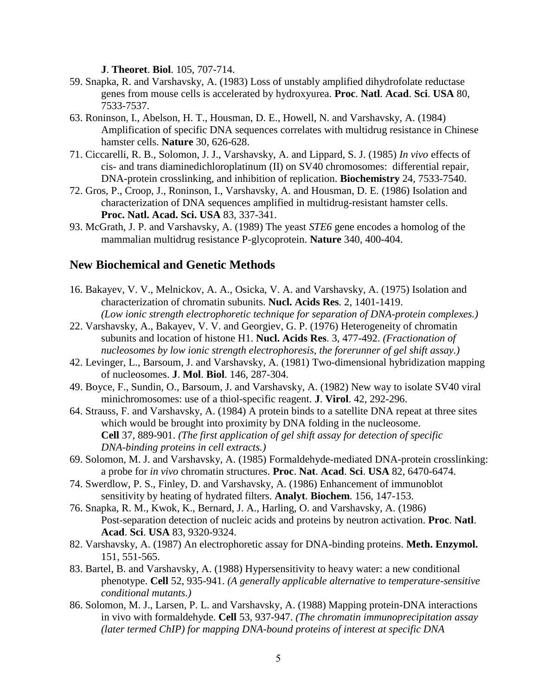**J**. **Theoret**. **Biol**. 105, 707-714.

- 59. Snapka, R. and Varshavsky, A. (1983) Loss of unstably amplified dihydrofolate reductase genes from mouse cells is accelerated by hydroxyurea. **Proc**. **Natl**. **Acad**. **Sci**. **USA** 80, 7533-7537.
- 63. Roninson, I., Abelson, H. T., Housman, D. E., Howell, N. and Varshavsky, A. (1984) Amplification of specific DNA sequences correlates with multidrug resistance in Chinese hamster cells. **Nature** 30, 626-628.
- 71. Ciccarelli, R. B., Solomon, J. J., Varshavsky, A. and Lippard, S. J. (1985) *In vivo* effects of cis- and trans diaminedichloroplatinum (II) on SV40 chromosomes: differential repair, DNA-protein crosslinking, and inhibition of replication. **Biochemistry** 24, 7533-7540.
- 72. Gros, P., Croop, J., Roninson, I., Varshavsky, A. and Housman, D. E. (1986) Isolation and characterization of DNA sequences amplified in multidrug-resistant hamster cells. **Proc. Natl. Acad. Sci. USA** 83, 337-341.
- 93. McGrath, J. P. and Varshavsky, A. (1989) The yeast *STE6* gene encodes a homolog of the mammalian multidrug resistance P-glycoprotein. **Nature** 340, 400-404.

## **New Biochemical and Genetic Methods**

- 16. Bakayev, V. V., Melnickov, A. A., Osicka, V. A. and Varshavsky, A. (1975) Isolation and characterization of chromatin subunits. **Nucl. Acids Res***.* 2, 1401-1419. *(Low ionic strength electrophoretic technique for separation of DNA-protein complexes.)*
- 22. Varshavsky, A., Bakayev, V. V. and Georgiev, G. P. (1976) Heterogeneity of chromatin subunits and location of histone H1. **Nucl. Acids Res**. 3, 477-492. *(Fractionation of nucleosomes by low ionic strength electrophoresis, the forerunner of gel shift assay.)*
- 42. Levinger, L., Barsoum, J. and Varshavsky, A. (1981) Two-dimensional hybridization mapping of nucleosomes. **J**. **Mol**. **Biol**. 146, 287-304.
- 49. Boyce, F., Sundin, O., Barsoum, J. and Varshavsky, A. (1982) New way to isolate SV40 viral minichromosomes: use of a thiol-specific reagent. **J**. **Virol**. 42, 292-296.
- 64. Strauss, F. and Varshavsky, A. (1984) A protein binds to a satellite DNA repeat at three sites which would be brought into proximity by DNA folding in the nucleosome. **Cell** 37, 889-901. *(The first application of gel shift assay for detection of specific DNA-binding proteins in cell extracts.)*
- 69. Solomon, M. J. and Varshavsky, A. (1985) Formaldehyde-mediated DNA-protein crosslinking: a probe for *in vivo* chromatin structures. **Proc**. **Nat**. **Acad**. **Sci**. **USA** 82, 6470-6474.
- 74. Swerdlow, P. S., Finley, D. and Varshavsky, A. (1986) Enhancement of immunoblot sensitivity by heating of hydrated filters. **Analyt**. **Biochem**. 156, 147-153.
- 76. Snapka, R. M., Kwok, K., Bernard, J. A., Harling, O. and Varshavsky, A. (1986) Post-separation detection of nucleic acids and proteins by neutron activation. **Proc**. **Natl**. **Acad**. **Sci**. **USA** 83, 9320-9324.
- 82. Varshavsky, A. (1987) An electrophoretic assay for DNA-binding proteins. **Meth. Enzymol.** 151, 551-565.
- 83. Bartel, B. and Varshavsky, A. (1988) Hypersensitivity to heavy water: a new conditional phenotype. **Cell** 52, 935-941. *(A generally applicable alternative to temperature-sensitive conditional mutants.)*
- 86. Solomon, M. J., Larsen, P. L. and Varshavsky, A. (1988) Mapping protein-DNA interactions in vivo with formaldehyde. **Cell** 53, 937-947. *(The chromatin immunoprecipitation assay (later termed ChIP) for mapping DNA-bound proteins of interest at specific DNA*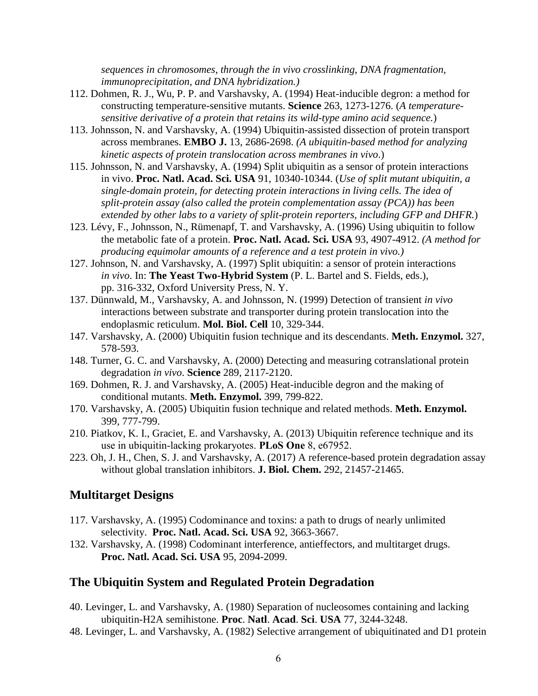*sequences in chromosomes, through the in vivo crosslinking, DNA fragmentation, immunoprecipitation, and DNA hybridization.)*

- 112. Dohmen, R. J., Wu, P. P. and Varshavsky, A. (1994) Heat-inducible degron: a method for constructing temperature-sensitive mutants. **Science** 263, 1273-1276. (*A temperaturesensitive derivative of a protein that retains its wild-type amino acid sequence.*)
- 113. Johnsson, N. and Varshavsky, A. (1994) Ubiquitin-assisted dissection of protein transport across membranes. **EMBO J.** 13, 2686-2698. *(A ubiquitin-based method for analyzing kinetic aspects of protein translocation across membranes in vivo*.)
- 115. Johnsson, N. and Varshavsky, A. (1994) Split ubiquitin as a sensor of protein interactions in vivo. **Proc. Natl. Acad. Sci. USA** 91, 10340-10344. (*Use of split mutant ubiquitin, a single-domain protein, for detecting protein interactions in living cells. The idea of split-protein assay (also called the protein complementation assay (PCA)) has been extended by other labs to a variety of split-protein reporters, including GFP and DHFR.*)
- 123. Lévy, F., Johnsson, N., Rümenapf, T. and Varshavsky, A. (1996) Using ubiquitin to follow the metabolic fate of a protein. **Proc. Natl. Acad. Sci. USA** 93, 4907-4912. *(A method for producing equimolar amounts of a reference and a test protein in vivo.)*
- 127. Johnson, N. and Varshavsky, A. (1997) Split ubiquitin: a sensor of protein interactions *in vivo*. In: **The Yeast Two-Hybrid System** (P. L. Bartel and S. Fields, eds.), pp. 316-332, Oxford University Press, N. Y.
- 137. Dünnwald, M., Varshavsky, A. and Johnsson, N. (1999) Detection of transient *in vivo* interactions between substrate and transporter during protein translocation into the endoplasmic reticulum. **Mol. Biol. Cell** 10, 329-344.
- 147. Varshavsky, A. (2000) Ubiquitin fusion technique and its descendants. **Meth. Enzymol.** 327, 578-593.
- 148. Turner, G. C. and Varshavsky, A. (2000) Detecting and measuring cotranslational protein degradation *in vivo*. **Science** 289, 2117-2120.
- 169. Dohmen, R. J. and Varshavsky, A. (2005) Heat-inducible degron and the making of conditional mutants. **Meth. Enzymol.** 399, 799-822.
- 170. Varshavsky, A. (2005) Ubiquitin fusion technique and related methods. **Meth. Enzymol.** 399, 777-799.
- 210. Piatkov, K. I., Graciet, E. and Varshavsky, A. (2013) Ubiquitin reference technique and its use in ubiquitin-lacking prokaryotes. **PLoS One** 8, e67952.
- 223. Oh, J. H., Chen, S. J. and Varshavsky, A. (2017) A reference-based protein degradation assay without global translation inhibitors. **J. Biol. Chem.** 292, 21457-21465.

### **Multitarget Designs**

- 117. Varshavsky, A. (1995) Codominance and toxins: a path to drugs of nearly unlimited selectivity. **Proc. Natl. Acad. Sci. USA** 92, 3663-3667.
- 132. Varshavsky, A. (1998) Codominant interference, antieffectors, and multitarget drugs. **Proc. Natl. Acad. Sci. USA** 95, 2094-2099.

## **The Ubiquitin System and Regulated Protein Degradation**

- 40. Levinger, L. and Varshavsky, A. (1980) Separation of nucleosomes containing and lacking ubiquitin-H2A semihistone. **Proc**. **Natl**. **Acad**. **Sci**. **USA** 77, 3244-3248.
- 48. Levinger, L. and Varshavsky, A. (1982) Selective arrangement of ubiquitinated and D1 protein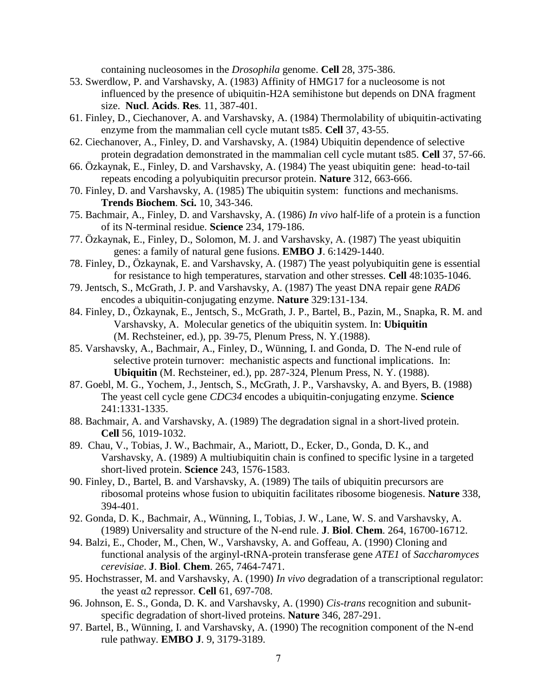containing nucleosomes in the *Drosophila* genome. **Cell** 28, 375-386.

- 53. Swerdlow, P. and Varshavsky, A. (1983) Affinity of HMG17 for a nucleosome is not influenced by the presence of ubiquitin-H2A semihistone but depends on DNA fragment size. **Nucl**. **Acids**. **Res***.* 11, 387-401.
- 61. Finley, D., Ciechanover, A. and Varshavsky, A. (1984) Thermolability of ubiquitin-activating enzyme from the mammalian cell cycle mutant ts85. **Cell** 37, 43-55.
- 62. Ciechanover, A., Finley, D. and Varshavsky, A. (1984) Ubiquitin dependence of selective protein degradation demonstrated in the mammalian cell cycle mutant ts85. **Cell** 37, 57-66.
- 66. Özkaynak, E., Finley, D. and Varshavsky, A. (1984) The yeast ubiquitin gene: head-to-tail repeats encoding a polyubiquitin precursor protein. **Nature** 312, 663-666.
- 70. Finley, D. and Varshavsky, A. (1985) The ubiquitin system: functions and mechanisms. **Trends Biochem**. **Sci.** 10, 343-346.
- 75. Bachmair, A., Finley, D. and Varshavsky, A. (1986) *In vivo* half-life of a protein is a function of its N-terminal residue. **Science** 234, 179-186.
- 77. Özkaynak, E., Finley, D., Solomon, M. J. and Varshavsky, A. (1987) The yeast ubiquitin genes: a family of natural gene fusions. **EMBO J**. 6:1429-1440.
- 78. Finley, D., Özkaynak, E. and Varshavsky, A. (1987) The yeast polyubiquitin gene is essential for resistance to high temperatures, starvation and other stresses. **Cell** 48:1035-1046.
- 79. Jentsch, S., McGrath, J. P. and Varshavsky, A. (1987) The yeast DNA repair gene *RAD6* encodes a ubiquitin-conjugating enzyme. **Nature** 329:131-134.
- 84. Finley, D., Özkaynak, E., Jentsch, S., McGrath, J. P., Bartel, B., Pazin, M., Snapka, R. M. and Varshavsky, A. Molecular genetics of the ubiquitin system. In: **Ubiquitin** (M. Rechsteiner, ed.), pp. 39-75, Plenum Press, N. Y.(1988).
- 85. Varshavsky, A., Bachmair, A., Finley, D., Wünning, I. and Gonda, D. The N-end rule of selective protein turnover: mechanistic aspects and functional implications. In: **Ubiquitin** (M. Rechsteiner, ed.), pp. 287-324, Plenum Press, N. Y. (1988).
- 87. Goebl, M. G., Yochem, J., Jentsch, S., McGrath, J. P., Varshavsky, A. and Byers, B. (1988) The yeast cell cycle gene *CDC34* encodes a ubiquitin-conjugating enzyme. **Science** 241:1331-1335.
- 88. Bachmair, A. and Varshavsky, A. (1989) The degradation signal in a short-lived protein. **Cell** 56, 1019-1032.
- 89. Chau, V., Tobias, J. W., Bachmair, A., Mariott, D., Ecker, D., Gonda, D. K., and Varshavsky, A. (1989) A multiubiquitin chain is confined to specific lysine in a targeted short-lived protein. **Science** 243, 1576-1583.
- 90. Finley, D., Bartel, B. and Varshavsky, A. (1989) The tails of ubiquitin precursors are ribosomal proteins whose fusion to ubiquitin facilitates ribosome biogenesis. **Nature** 338, 394-401.
- 92. Gonda, D. K., Bachmair, A., Wünning, I., Tobias, J. W., Lane, W. S. and Varshavsky, A. (1989) Universality and structure of the N-end rule. **J**. **Biol**. **Chem**. 264, 16700-16712.
- 94. Balzi, E., Choder, M., Chen, W., Varshavsky, A. and Goffeau, A. (1990) Cloning and functional analysis of the arginyl-tRNA-protein transferase gene *ATE1* of *Saccharomyces cerevisiae*. **J**. **Biol**. **Chem**. 265, 7464-7471.
- 95. Hochstrasser, M. and Varshavsky, A. (1990) *In vivo* degradation of a transcriptional regulator: the yeast α2 repressor. **Cell** 61, 697-708.
- 96. Johnson, E. S., Gonda, D. K. and Varshavsky, A. (1990) *Cis-trans* recognition and subunitspecific degradation of short-lived proteins. **Nature** 346, 287-291.
- 97. Bartel, B., Wünning, I. and Varshavsky, A. (1990) The recognition component of the N-end rule pathway. **EMBO J**. 9, 3179-3189.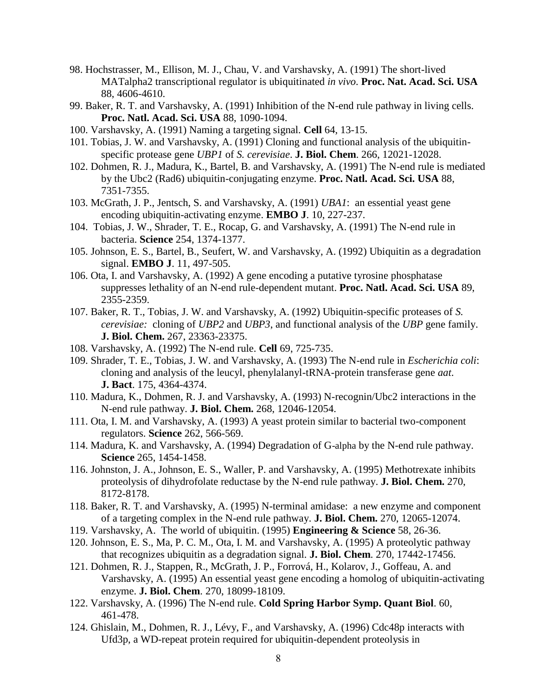- 98. Hochstrasser, M., Ellison, M. J., Chau, V. and Varshavsky, A. (1991) The short-lived MATalpha2 transcriptional regulator is ubiquitinated *in vivo*. **Proc. Nat. Acad. Sci. USA** 88, 4606-4610.
- 99. Baker, R. T. and Varshavsky, A. (1991) Inhibition of the N-end rule pathway in living cells. **Proc. Natl. Acad. Sci. USA** 88, 1090-1094.
- 100. Varshavsky, A. (1991) Naming a targeting signal. **Cell** 64, 13-15.
- 101. Tobias, J. W. and Varshavsky, A. (1991) Cloning and functional analysis of the ubiquitinspecific protease gene *UBP1* of *S. cerevisiae*. **J. Biol. Chem**. 266, 12021-12028.
- 102. Dohmen, R. J., Madura, K., Bartel, B. and Varshavsky, A. (1991) The N-end rule is mediated by the Ubc2 (Rad6) ubiquitin-conjugating enzyme. **Proc. Natl. Acad. Sci. USA** 88, 7351-7355.
- 103. McGrath, J. P., Jentsch, S. and Varshavsky, A. (1991) *UBA1*: an essential yeast gene encoding ubiquitin-activating enzyme. **EMBO J**. 10, 227-237.
- 104. Tobias, J. W., Shrader, T. E., Rocap, G. and Varshavsky, A. (1991) The N-end rule in bacteria. **Science** 254, 1374-1377.
- 105. Johnson, E. S., Bartel, B., Seufert, W. and Varshavsky, A. (1992) Ubiquitin as a degradation signal. **EMBO J**. 11, 497-505.
- 106. Ota, I. and Varshavsky, A. (1992) A gene encoding a putative tyrosine phosphatase suppresses lethality of an N-end rule-dependent mutant. **Proc. Natl. Acad. Sci. USA** 89, 2355-2359.
- 107. Baker, R. T., Tobias, J. W. and Varshavsky, A. (1992) Ubiquitin-specific proteases of *S. cerevisiae:* cloning of *UBP2* and *UBP3*, and functional analysis of the *UBP* gene family. **J. Biol. Chem.** 267, 23363-23375.
- 108. Varshavsky, A. (1992) The N-end rule. **Cell** 69, 725-735.
- 109. Shrader, T. E., Tobias, J. W. and Varshavsky, A. (1993) The N-end rule in *Escherichia coli*: cloning and analysis of the leucyl, phenylalanyl-tRNA-protein transferase gene *aat*. **J. Bact**. 175, 4364-4374.
- 110. Madura, K., Dohmen, R. J. and Varshavsky, A. (1993) N-recognin/Ubc2 interactions in the N-end rule pathway. **J. Biol. Chem.** 268, 12046-12054.
- 111. Ota, I. M. and Varshavsky, A. (1993) A yeast protein similar to bacterial two-component regulators. **Science** 262, 566-569.
- 114. Madura, K. and Varshavsky, A. (1994) Degradation of G-alpha by the N-end rule pathway. **Science** 265, 1454-1458.
- 116. Johnston, J. A., Johnson, E. S., Waller, P. and Varshavsky, A. (1995) Methotrexate inhibits proteolysis of dihydrofolate reductase by the N-end rule pathway. **J. Biol. Chem.** 270, 8172-8178.
- 118. Baker, R. T. and Varshavsky, A. (1995) N-terminal amidase: a new enzyme and component of a targeting complex in the N-end rule pathway. **J. Biol. Chem.** 270, 12065-12074.
- 119. Varshavsky, A. The world of ubiquitin. (1995) **Engineering & Science** 58, 26-36.
- 120. Johnson, E. S., Ma, P. C. M., Ota, I. M. and Varshavsky, A. (1995) A proteolytic pathway that recognizes ubiquitin as a degradation signal. **J. Biol. Chem**. 270, 17442-17456.
- 121. Dohmen, R. J., Stappen, R., McGrath, J. P., Forrová, H., Kolarov, J., Goffeau, A. and Varshavsky, A. (1995) An essential yeast gene encoding a homolog of ubiquitin-activating enzyme. **J. Biol. Chem**. 270, 18099-18109.
- 122. Varshavsky, A. (1996) The N-end rule. **Cold Spring Harbor Symp. Quant Biol**. 60, 461-478.
- 124. Ghislain, M., Dohmen, R. J., Lévy, F., and Varshavsky, A. (1996) Cdc48p interacts with Ufd3p, a WD-repeat protein required for ubiquitin-dependent proteolysis in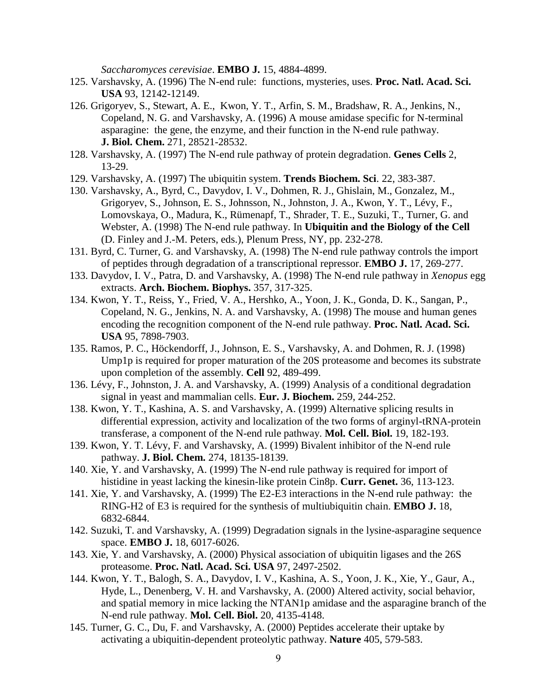*Saccharomyces cerevisiae*. **EMBO J.** 15, 4884-4899.

- 125. Varshavsky, A. (1996) The N-end rule: functions, mysteries, uses. **Proc. Natl. Acad. Sci. USA** 93, 12142-12149.
- 126. Grigoryev, S., Stewart, A. E., Kwon, Y. T., Arfin, S. M., Bradshaw, R. A., Jenkins, N., Copeland, N. G. and Varshavsky, A. (1996) A mouse amidase specific for N-terminal asparagine: the gene, the enzyme, and their function in the N-end rule pathway. **J. Biol. Chem.** 271, 28521-28532.
- 128. Varshavsky, A. (1997) The N-end rule pathway of protein degradation. **Genes Cells** 2, 13-29.
- 129. Varshavsky, A. (1997) The ubiquitin system. **Trends Biochem. Sci**. 22, 383-387.
- 130. Varshavsky, A., Byrd, C., Davydov, I. V., Dohmen, R. J., Ghislain, M., Gonzalez, M., Grigoryev, S., Johnson, E. S., Johnsson, N., Johnston, J. A., Kwon, Y. T., Lévy, F., Lomovskaya, O., Madura, K., Rümenapf, T., Shrader, T. E., Suzuki, T., Turner, G. and Webster, A. (1998) The N-end rule pathway. In **Ubiquitin and the Biology of the Cell** (D. Finley and J.-M. Peters, eds.), Plenum Press, NY, pp. 232-278.
- 131. Byrd, C. Turner, G. and Varshavsky, A. (1998) The N-end rule pathway controls the import of peptides through degradation of a transcriptional repressor. **EMBO J.** 17, 269-277.
- 133. Davydov, I. V., Patra, D. and Varshavsky, A. (1998) The N-end rule pathway in *Xenopus* egg extracts. **Arch. Biochem. Biophys.** 357, 317-325.
- 134. Kwon, Y. T., Reiss, Y., Fried, V. A., Hershko, A., Yoon, J. K., Gonda, D. K., Sangan, P., Copeland, N. G., Jenkins, N. A. and Varshavsky, A. (1998) The mouse and human genes encoding the recognition component of the N-end rule pathway. **Proc. Natl. Acad. Sci. USA** 95, 7898-7903.
- 135. Ramos, P. C., Höckendorff, J., Johnson, E. S., Varshavsky, A. and Dohmen, R. J. (1998) Ump1p is required for proper maturation of the 20S proteasome and becomes its substrate upon completion of the assembly. **Cell** 92, 489-499.
- 136. Lévy, F., Johnston, J. A. and Varshavsky, A. (1999) Analysis of a conditional degradation signal in yeast and mammalian cells. **Eur. J. Biochem.** 259, 244-252.
- 138. Kwon, Y. T., Kashina, A. S. and Varshavsky, A. (1999) Alternative splicing results in differential expression, activity and localization of the two forms of arginyl-tRNA-protein transferase, a component of the N-end rule pathway. **Mol. Cell. Biol.** 19, 182-193.
- 139. Kwon, Y. T. Lévy, F. and Varshavsky, A. (1999) Bivalent inhibitor of the N-end rule pathway. **J. Biol. Chem.** 274, 18135-18139.
- 140. Xie, Y. and Varshavsky, A. (1999) The N-end rule pathway is required for import of histidine in yeast lacking the kinesin-like protein Cin8p. **Curr. Genet.** 36, 113-123.
- 141. Xie, Y. and Varshavsky, A. (1999) The E2-E3 interactions in the N-end rule pathway: the RING-H2 of E3 is required for the synthesis of multiubiquitin chain. **EMBO J.** 18, 6832-6844.
- 142. Suzuki, T. and Varshavsky, A. (1999) Degradation signals in the lysine-asparagine sequence space. **EMBO J.** 18, 6017-6026.
- 143. Xie, Y. and Varshavsky, A. (2000) Physical association of ubiquitin ligases and the 26S proteasome. **Proc. Natl. Acad. Sci. USA** 97, 2497-2502.
- 144. Kwon, Y. T., Balogh, S. A., Davydov, I. V., Kashina, A. S., Yoon, J. K., Xie, Y., Gaur, A., Hyde, L., Denenberg, V. H. and Varshavsky, A. (2000) Altered activity, social behavior, and spatial memory in mice lacking the NTAN1p amidase and the asparagine branch of the N-end rule pathway. **Mol. Cell. Biol.** 20, 4135-4148.
- 145. Turner, G. C., Du, F. and Varshavsky, A. (2000) Peptides accelerate their uptake by activating a ubiquitin-dependent proteolytic pathway. **Nature** 405, 579-583.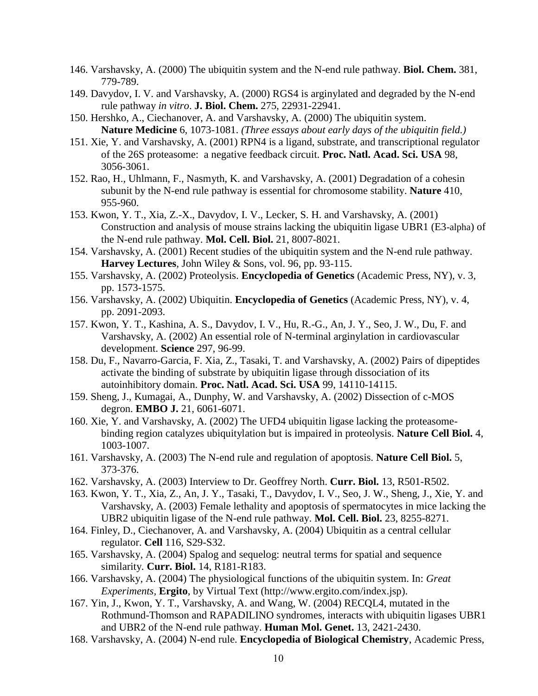- 146. Varshavsky, A. (2000) The ubiquitin system and the N-end rule pathway. **Biol. Chem.** 381, 779-789.
- 149. Davydov, I. V. and Varshavsky, A. (2000) RGS4 is arginylated and degraded by the N-end rule pathway *in vitro*. **J. Biol. Chem.** 275, 22931-22941.
- 150. Hershko, A., Ciechanover, A. and Varshavsky, A. (2000) The ubiquitin system. **Nature Medicine** 6, 1073-1081. *(Three essays about early days of the ubiquitin field.)*
- 151. Xie, Y. and Varshavsky, A. (2001) RPN4 is a ligand, substrate, and transcriptional regulator of the 26S proteasome: a negative feedback circuit. **Proc. Natl. Acad. Sci. USA** 98, 3056-3061.
- 152. Rao, H., Uhlmann, F., Nasmyth, K. and Varshavsky, A. (2001) Degradation of a cohesin subunit by the N-end rule pathway is essential for chromosome stability. **Nature** 410, 955-960.
- 153. Kwon, Y. T., Xia, Z.-X., Davydov, I. V., Lecker, S. H. and Varshavsky, A. (2001) Construction and analysis of mouse strains lacking the ubiquitin ligase UBR1 (E3-alpha) of the N-end rule pathway. **Mol. Cell. Biol.** 21, 8007-8021.
- 154. Varshavsky, A. (2001) Recent studies of the ubiquitin system and the N-end rule pathway. **Harvey Lectures**, John Wiley & Sons, vol. 96, pp. 93-115.
- 155. Varshavsky, A. (2002) Proteolysis. **Encyclopedia of Genetics** (Academic Press, NY), v. 3, pp. 1573-1575.
- 156. Varshavsky, A. (2002) Ubiquitin. **Encyclopedia of Genetics** (Academic Press, NY), v. 4, pp. 2091-2093.
- 157. Kwon, Y. T., Kashina, A. S., Davydov, I. V., Hu, R.-G., An, J. Y., Seo, J. W., Du, F. and Varshavsky, A. (2002) An essential role of N-terminal arginylation in cardiovascular development. **Science** 297, 96-99.
- 158. Du, F., Navarro-Garcia, F. Xia, Z., Tasaki, T. and Varshavsky, A. (2002) Pairs of dipeptides activate the binding of substrate by ubiquitin ligase through dissociation of its autoinhibitory domain. **Proc. Natl. Acad. Sci. USA** 99, 14110-14115.
- 159. Sheng, J., Kumagai, A., Dunphy, W. and Varshavsky, A. (2002) Dissection of c-MOS degron. **EMBO J.** 21, 6061-6071.
- 160. Xie, Y. and Varshavsky, A. (2002) The UFD4 ubiquitin ligase lacking the proteasomebinding region catalyzes ubiquitylation but is impaired in proteolysis. **Nature Cell Biol.** 4, 1003-1007.
- 161. Varshavsky, A. (2003) The N-end rule and regulation of apoptosis. **Nature Cell Biol.** 5, 373-376.
- 162. Varshavsky, A. (2003) Interview to Dr. Geoffrey North. **Curr. Biol.** 13, R501-R502.
- 163. Kwon, Y. T., Xia, Z., An, J. Y., Tasaki, T., Davydov, I. V., Seo, J. W., Sheng, J., Xie, Y. and Varshavsky, A. (2003) Female lethality and apoptosis of spermatocytes in mice lacking the UBR2 ubiquitin ligase of the N-end rule pathway. **Mol. Cell. Biol.** 23, 8255-8271.
- 164. Finley, D., Ciechanover, A. and Varshavsky, A. (2004) Ubiquitin as a central cellular regulator. **Cell** 116, S29-S32.
- 165. Varshavsky, A. (2004) Spalog and sequelog: neutral terms for spatial and sequence similarity. **Curr. Biol.** 14, R181-R183.
- 166. Varshavsky, A. (2004) The physiological functions of the ubiquitin system. In: *Great Experiments,* **Ergito**, by Virtual Text [\(http://www.ergito.com/index.jsp\)](http://www.ergito.com/index.jsp).
- 167. Yin, J., Kwon, Y. T., Varshavsky, A. and Wang, W. (2004) RECQL4, mutated in the Rothmund-Thomson and RAPADILINO syndromes, interacts with ubiquitin ligases UBR1 and UBR2 of the N-end rule pathway. **Human Mol. Genet.** 13, 2421-2430.
- 168. Varshavsky, A. (2004) N-end rule. **Encyclopedia of Biological Chemistry**, Academic Press,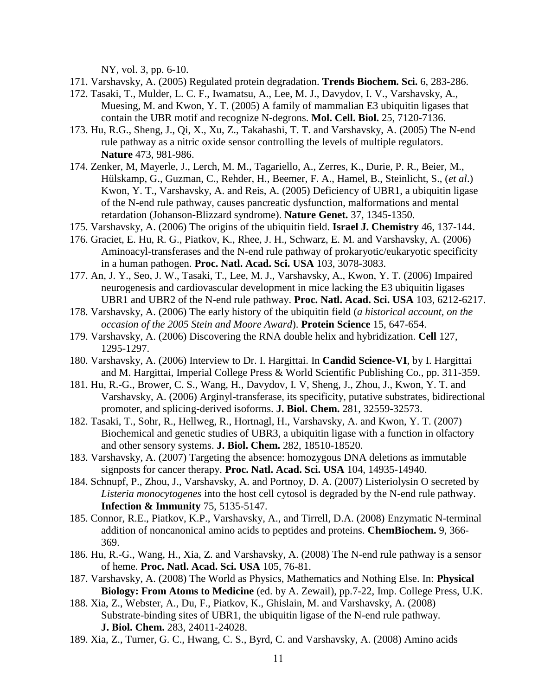NY, vol. 3, pp. 6-10.

- 171. Varshavsky, A. (2005) Regulated protein degradation. **Trends Biochem. Sci.** 6, 283-286.
- 172. Tasaki, T., Mulder, L. C. F., Iwamatsu, A., Lee, M. J., Davydov, I. V., Varshavsky, A., Muesing, M. and Kwon, Y. T. (2005) A family of mammalian E3 ubiquitin ligases that contain the UBR motif and recognize N-degrons. **Mol. Cell. Biol.** 25, 7120-7136.
- 173. Hu, R.G., Sheng, J., Qi, X., Xu, Z., Takahashi, T. T. and Varshavsky, A. (2005) The N-end rule pathway as a nitric oxide sensor controlling the levels of multiple regulators. **Nature** 473, 981-986.
- 174. Zenker, M, Mayerle, J., Lerch, M. M., Tagariello, A., Zerres, K., Durie, P. R., Beier, M., Hülskamp, G., Guzman, C., Rehder, H., Beemer, F. A., Hamel, B., Steinlicht, S., (*et al*.) Kwon, Y. T., Varshavsky, A. and Reis, A. (2005) Deficiency of UBR1, a ubiquitin ligase of the N-end rule pathway, causes pancreatic dysfunction, malformations and mental retardation (Johanson-Blizzard syndrome). **Nature Genet.** 37, 1345-1350.
- 175. Varshavsky, A. (2006) The origins of the ubiquitin field. **Israel J. Chemistry** 46, 137-144.
- 176. Graciet, E. Hu, R. G., Piatkov, K., Rhee, J. H., Schwarz, E. M. and Varshavsky, A. (2006) Aminoacyl-transferases and the N-end rule pathway of prokaryotic/eukaryotic specificity in a human pathogen. **Proc. Natl. Acad. Sci. USA** 103, 3078-3083.
- 177. An, J. Y., Seo, J. W., Tasaki, T., Lee, M. J., Varshavsky, A., Kwon, Y. T. (2006) Impaired neurogenesis and cardiovascular development in mice lacking the E3 ubiquitin ligases UBR1 and UBR2 of the N-end rule pathway. **Proc. Natl. Acad. Sci. USA** 103, 6212-6217.
- 178. Varshavsky, A. (2006) The early history of the ubiquitin field (*a historical account, on the occasion of the 2005 Stein and Moore Award*). **Protein Science** 15, 647-654.
- 179. Varshavsky, A. (2006) Discovering the RNA double helix and hybridization. **Cell** 127, 1295-1297.
- 180. Varshavsky, A. (2006) Interview to Dr. I. Hargittai. In **Candid Science-VI**, by I. Hargittai and M. Hargittai, Imperial College Press & World Scientific Publishing Co., pp. 311-359.
- 181. Hu, R.-G., Brower, C. S., Wang, H., Davydov, I. V, Sheng, J., Zhou, J., Kwon, Y. T. and Varshavsky, A. (2006) Arginyl-transferase, its specificity, putative substrates, bidirectional promoter, and splicing-derived isoforms. **J. Biol. Chem.** 281, 32559-32573.
- 182. Tasaki, T., Sohr, R., Hellweg, R., Hortnagl, H., Varshavsky, A. and Kwon, Y. T. (2007) Biochemical and genetic studies of UBR3, a ubiquitin ligase with a function in olfactory and other sensory systems. **J. Biol. Chem.** 282, 18510-18520.
- 183. Varshavsky, A. (2007) Targeting the absence: homozygous DNA deletions as immutable signposts for cancer therapy. **Proc. Natl. Acad. Sci. USA** 104, 14935-14940.
- 184. Schnupf, P., Zhou, J., Varshavsky, A. and Portnoy, D. A. (2007) Listeriolysin O secreted by *Listeria monocytogenes* into the host cell cytosol is degraded by the N-end rule pathway. **Infection & Immunity** 75, 5135-5147.
- 185. Connor, R.E., Piatkov, K.P., Varshavsky, A., and Tirrell, D.A. (2008) Enzymatic N-terminal addition of noncanonical amino acids to peptides and proteins. **ChemBiochem.** 9, 366- 369.
- 186. Hu, R.-G., Wang, H., Xia, Z. and Varshavsky, A. (2008) The N-end rule pathway is a sensor of heme. **Proc. Natl. Acad. Sci. USA** 105, 76-81.
- 187. Varshavsky, A. (2008) The World as Physics, Mathematics and Nothing Else. In: **Physical Biology: From Atoms to Medicine** (ed. by A. Zewail), pp.7-22, Imp. College Press, U.K.
- 188. Xia, Z., Webster, A., Du, F., Piatkov, K., Ghislain, M. and Varshavsky, A. (2008) Substrate-binding sites of UBR1, the ubiquitin ligase of the N-end rule pathway. **J. Biol. Chem.** 283, 24011-24028.
- 189. Xia, Z., Turner, G. C., Hwang, C. S., Byrd, C. and Varshavsky, A. (2008) Amino acids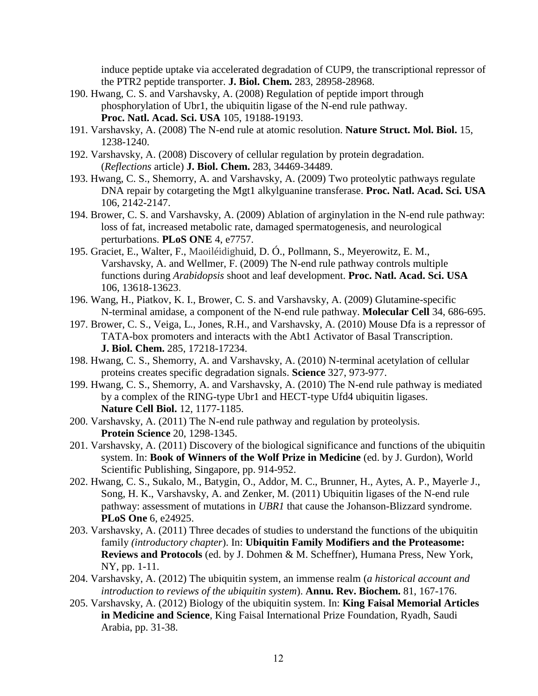induce peptide uptake via accelerated degradation of CUP9, the transcriptional repressor of the PTR2 peptide transporter. **J. Biol. Chem.** 283, 28958-28968.

- 190. Hwang, C. S. and Varshavsky, A. (2008) Regulation of peptide import through phosphorylation of Ubr1, the ubiquitin ligase of the N-end rule pathway. **Proc. Natl. Acad. Sci. USA** 105, 19188-19193.
- 191. Varshavsky, A. (2008) The N-end rule at atomic resolution. **Nature Struct. Mol. Biol.** 15, 1238-1240.
- 192. Varshavsky, A. (2008) Discovery of cellular regulation by protein degradation. (*Reflections* article) **J. Biol. Chem.** 283, 34469-34489.
- 193. Hwang, C. S., Shemorry, A. and Varshavsky, A. (2009) Two proteolytic pathways regulate DNA repair by cotargeting the Mgt1 alkylguanine transferase. **Proc. Natl. Acad. Sci. USA** 106, 2142-2147.
- 194. Brower, C. S. and Varshavsky, A. (2009) Ablation of arginylation in the N-end rule pathway: loss of fat, increased metabolic rate, damaged spermatogenesis, and neurological perturbations. **PLoS ONE** 4, e7757.
- 195. Graciet, E., Walter, F., [Maoiléidighu](http://www.pnas.org/search?author1=Diarmuid+%C3%93+Maoil%C3%A9idigh&sortspec=date&submit=Submit)id, D. Ó., Pollmann, S., Meyerowitz, E. M., Varshavsky, A. and Wellmer, F. (2009) The N-end rule pathway controls multiple functions during *Arabidopsis* shoot and leaf development. **Proc. Natl. Acad. Sci. USA** 106, 13618-13623.
- 196. Wang, H., Piatkov, K. I., Brower, C. S. and Varshavsky, A. (2009) Glutamine-specific N-terminal amidase, a component of the N-end rule pathway. **Molecular Cell** 34, 686-695.
- 197. Brower, C. S., Veiga, L., Jones, R.H., and Varshavsky, A. (2010) Mouse Dfa is a repressor of TATA-box promoters and interacts with the Abt1 Activator of Basal Transcription. **J. Biol. Chem.** 285, 17218-17234.
- 198. Hwang, C. S., Shemorry, A. and Varshavsky, A. (2010) N-terminal acetylation of cellular proteins creates specific degradation signals. **Science** 327, 973-977.
- 199. Hwang, C. S., Shemorry, A. and Varshavsky, A. (2010) The N-end rule pathway is mediated by a complex of the RING-type Ubr1 and HECT-type Ufd4 ubiquitin ligases. **Nature Cell Biol.** 12, 1177-1185.
- 200. Varshavsky, A. (2011) The N-end rule pathway and regulation by proteolysis. **Protein Science** 20, 1298-1345.
- 201. Varshavsky, A. (2011) Discovery of the biological significance and functions of the ubiquitin system. In: **Book of Winners of the Wolf Prize in Medicine** (ed. by J. Gurdon), World Scientific Publishing, Singapore, pp. 914-952.
- 202. Hwang, C. S., Sukalo, M., Batygin, O., Addor, M. C., Brunner, H., Aytes, A. P., Mayerle<sup>, J.</sup>, Song, H. K., Varshavsky, A. and Zenker, M. (2011) Ubiquitin ligases of the N-end rule pathway: assessment of mutations in *UBR1* that cause the Johanson-Blizzard syndrome. **PLoS One** 6, e24925.
- 203. Varshavsky, A. (2011) Three decades of studies to understand the functions of the ubiquitin family *(introductory chapter*). In: **Ubiquitin Family Modifiers and the Proteasome: Reviews and Protocols** (ed. by J. Dohmen & M. Scheffner), Humana Press, New York, NY, pp. 1-11.
- 204. Varshavsky, A. (2012) The ubiquitin system, an immense realm (*a historical account and introduction to reviews of the ubiquitin system*). **Annu. Rev. Biochem.** 81, 167-176.
- 205. Varshavsky, A. (2012) Biology of the ubiquitin system. In: **King Faisal Memorial Articles in Medicine and Science**, King Faisal International Prize Foundation, Ryadh, Saudi Arabia, pp. 31-38.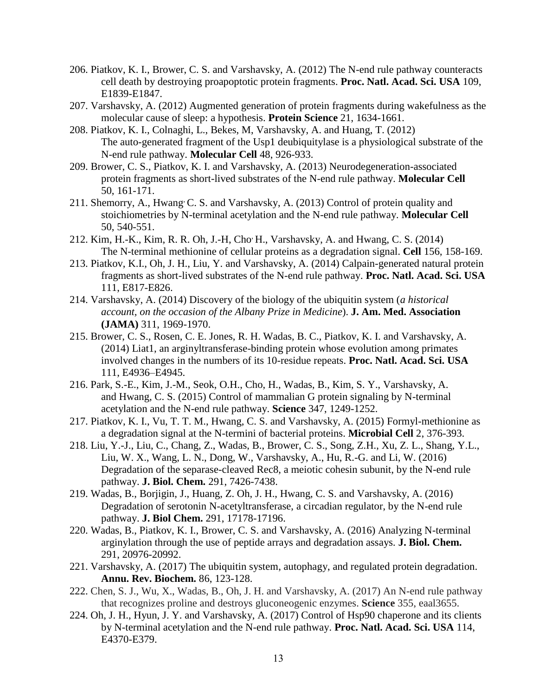- 206. Piatkov, K. I., Brower, C. S. and Varshavsky, A. (2012) The N-end rule pathway counteracts cell death by destroying proapoptotic protein fragments. **Proc. Natl. Acad. Sci. USA** 109, E1839-E1847.
- 207. Varshavsky, A. (2012) Augmented generation of protein fragments during wakefulness as the molecular cause of sleep: a hypothesis. **Protein Science** 21, 1634-1661.
- 208. Piatkov, K. I., Colnaghi, L., Bekes, M, Varshavsky, A. and Huang, T. (2012) The auto-generated fragment of the Usp1 deubiquitylase is a physiological substrate of the N-end rule pathway. **Molecular Cell** 48, 926-933.
- 209. Brower, C. S., Piatkov, K. I. and Varshavsky, A. (2013) Neurodegeneration-associated protein fragments as short-lived substrates of the N-end rule pathway. **Molecular Cell** 50, 161-171.
- 211. Shemorry, A., Hwang C. S. and Varshavsky, A. (2013) Control of protein quality and stoichiometries by N-terminal acetylation and the N-end rule pathway. **Molecular Cell** 50, 540-551.
- 212. Kim, H.-K., Kim, R. R. Oh, J.-H, Cho, H., Varshavsky, A. and Hwang, C. S. (2014) The N-terminal methionine of cellular proteins as a degradation signal. **Cell** 156, 158-169.
- 213. Piatkov, K.I., Oh, J. H., Liu, Y. and Varshavsky, A. (2014) Calpain-generated natural protein fragments as short-lived substrates of the N-end rule pathway. **Proc. Natl. Acad. Sci. USA** 111, E817-E826.
- 214. Varshavsky, A. (2014) Discovery of the biology of the ubiquitin system (*a historical account, on the occasion of the Albany Prize in Medicine*). **J. Am. Med. Association (JAMA)** 311, 1969-1970.
- 215. Brower, C. S., Rosen, C. E. Jones, R. H. Wadas, B. C., Piatkov, K. I. and Varshavsky, A. (2014) Liat1, an arginyltransferase-binding protein whose evolution among primates involved changes in the numbers of its 10-residue repeats. **Proc. Natl. Acad. Sci. USA** 111, E4936–E4945.
- 216. Park, S.-E., Kim, J.-M., Seok, O.H., Cho, H., Wadas, B., Kim, S. Y., Varshavsky, A. and Hwang, C. S. (2015) Control of mammalian G protein signaling by N-terminal acetylation and the N-end rule pathway. **Science** 347, 1249-1252.
- 217. Piatkov, K. I., Vu, T. T. M., Hwang, C. S. and Varshavsky, A. (2015) Formyl-methionine as a degradation signal at the N-termini of bacterial proteins. **Microbial Cell** 2, 376-393.
- 218. Liu, Y.-J., Liu, C., Chang, Z., Wadas, B., Brower, C. S., Song, Z.H., Xu, Z. L., Shang, Y.L., Liu, W. X., Wang, L. N., Dong, W., Varshavsky, A., Hu, R.-G. and Li, W. (2016) Degradation of the separase-cleaved Rec8, a meiotic cohesin subunit, by the N-end rule pathway. **J. Biol. Chem.** 291, 7426-7438.
- 219. Wadas, B., Borjigin, J., Huang, Z. Oh, J. H., Hwang, C. S. and Varshavsky, A. (2016) Degradation of serotonin N-acetyltransferase, a circadian regulator, by the N-end rule pathway. **[J. Biol Chem.](http://www.ncbi.nlm.nih.gov/pubmed/27339900)** 291, 17178-17196.
- 220. Wadas, B., Piatkov, K. I., Brower, C. S. and Varshavsky, A. (2016) Analyzing N-terminal arginylation through the use of peptide arrays and degradation assays. **J. Biol. Chem.** 291, 20976-20992.
- 221. Varshavsky, A. (2017) The ubiquitin system, autophagy, and regulated protein degradation. **Annu. Rev. Biochem.** 86, 123-128.
- 222. Chen, S. J., Wu, X., Wadas, B., Oh, J. H. and Varshavsky, A. (2017) An N-end rule pathway that recognizes proline and destroys gluconeogenic enzymes. **Science** 355, eaal3655.
- 224. Oh, J. H., Hyun, J. Y. and Varshavsky, A. (2017) Control of Hsp90 chaperone and its clients by N-terminal acetylation and the N-end rule pathway. **Proc. Natl. Acad. Sci. USA** 114, E4370-E379.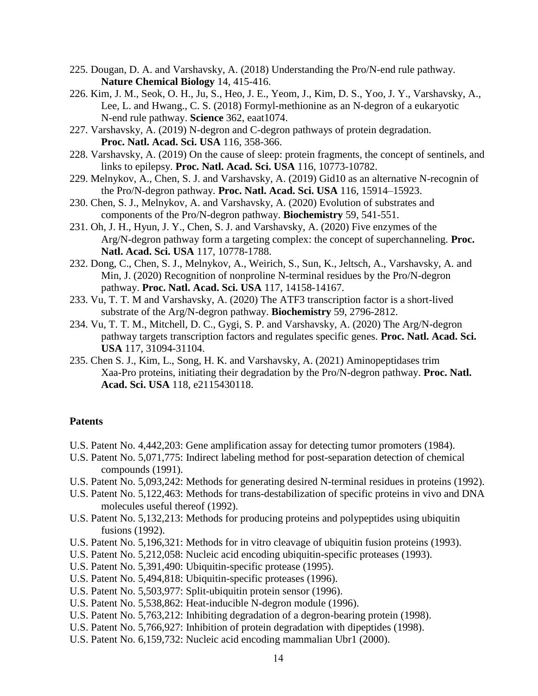- 225. Dougan, D. A. and Varshavsky, A. (2018) Understanding the Pro/N-end rule pathway. **Nature Chemical Biology** 14, 415-416.
- 226. Kim, J. M., Seok, O. H., Ju, S., Heo, J. E., Yeom, J., Kim, D. S., Yoo, J. Y., Varshavsky, A., Lee, L. and Hwang., C. S. (2018) Formyl-methionine as an N-degron of a eukaryotic N-end rule pathway. **Science** 362, eaat1074.
- 227. Varshavsky, A. (2019) N-degron and C-degron pathways of protein degradation. **Proc. Natl. Acad. Sci. USA** 116, 358-366.
- 228. Varshavsky, A. (2019) On the cause of sleep: protein fragments, the concept of sentinels, and links to epilepsy. **Proc. Natl. Acad. Sci. USA** 116, 10773-10782.
- 229. Melnykov, A., Chen, S. J. and Varshavsky, A. (2019) Gid10 as an alternative N-recognin of the Pro/N-degron pathway. **Proc. Natl. Acad. Sci. USA** 116, 15914–15923.
- 230. Chen, S. J., Melnykov, A. and Varshavsky, A. (2020) Evolution of substrates and components of the Pro/N-degron pathway. **Biochemistry** 59, 541-551.
- 231. Oh, J. H., Hyun, J. Y., Chen, S. J. and Varshavsky, A. (2020) Five enzymes of the Arg/N-degron pathway form a targeting complex: the concept of superchanneling. **Proc. Natl. Acad. Sci. USA** 117, 10778-1788.
- 232. Dong, C., Chen, S. J., Melnykov, A., Weirich, S., Sun, K., Jeltsch, A., Varshavsky, A. and Min, J. (2020) Recognition of nonproline N-terminal residues by the Pro/N-degron pathway. **Proc. Natl. Acad. Sci. USA** 117, 14158-14167.
- 233. Vu, T. T. M and Varshavsky, A. (2020) The ATF3 transcription factor is a short-lived substrate of the Arg/N-degron pathway. **Biochemistry** 59, 2796-2812.
- 234. Vu, T. T. M., Mitchell, D. C., Gygi, S. P. and Varshavsky, A. (2020) The Arg/N-degron pathway targets transcription factors and regulates specific genes. **Proc. Natl. Acad. Sci. USA** 117, 31094-31104.
- 235. Chen S. J., Kim, L., Song, H. K. and Varshavsky, A. (2021) Aminopeptidases trim Xaa-Pro proteins, initiating their degradation by the Pro/N-degron pathway. **Proc. Natl. Acad. Sci. USA** 118, e2115430118.

#### **Patents**

- U.S. Patent No. 4,442,203: Gene amplification assay for detecting tumor promoters (1984).
- U.S. Patent No. 5,071,775: Indirect labeling method for post-separation detection of chemical compounds (1991).
- U.S. Patent No. 5,093,242: Methods for generating desired N-terminal residues in proteins (1992).
- U.S. Patent No. 5,122,463: Methods for trans-destabilization of specific proteins in vivo and DNA molecules useful thereof (1992).
- U.S. Patent No. 5,132,213: Methods for producing proteins and polypeptides using ubiquitin fusions (1992).
- U.S. Patent No. 5,196,321: Methods for in vitro cleavage of ubiquitin fusion proteins (1993).
- U.S. Patent No. 5,212,058: Nucleic acid encoding ubiquitin-specific proteases (1993).
- U.S. Patent No. 5,391,490: Ubiquitin-specific protease (1995).
- U.S. Patent No. 5,494,818: Ubiquitin-specific proteases (1996).
- U.S. Patent No. 5,503,977: Split-ubiquitin protein sensor (1996).
- U.S. Patent No. 5,538,862: Heat-inducible N-degron module (1996).
- U.S. Patent No. 5,763,212: Inhibiting degradation of a degron-bearing protein (1998).
- U.S. Patent No. 5,766,927: Inhibition of protein degradation with dipeptides (1998).
- U.S. Patent No. 6,159,732: Nucleic acid encoding mammalian Ubr1 (2000).